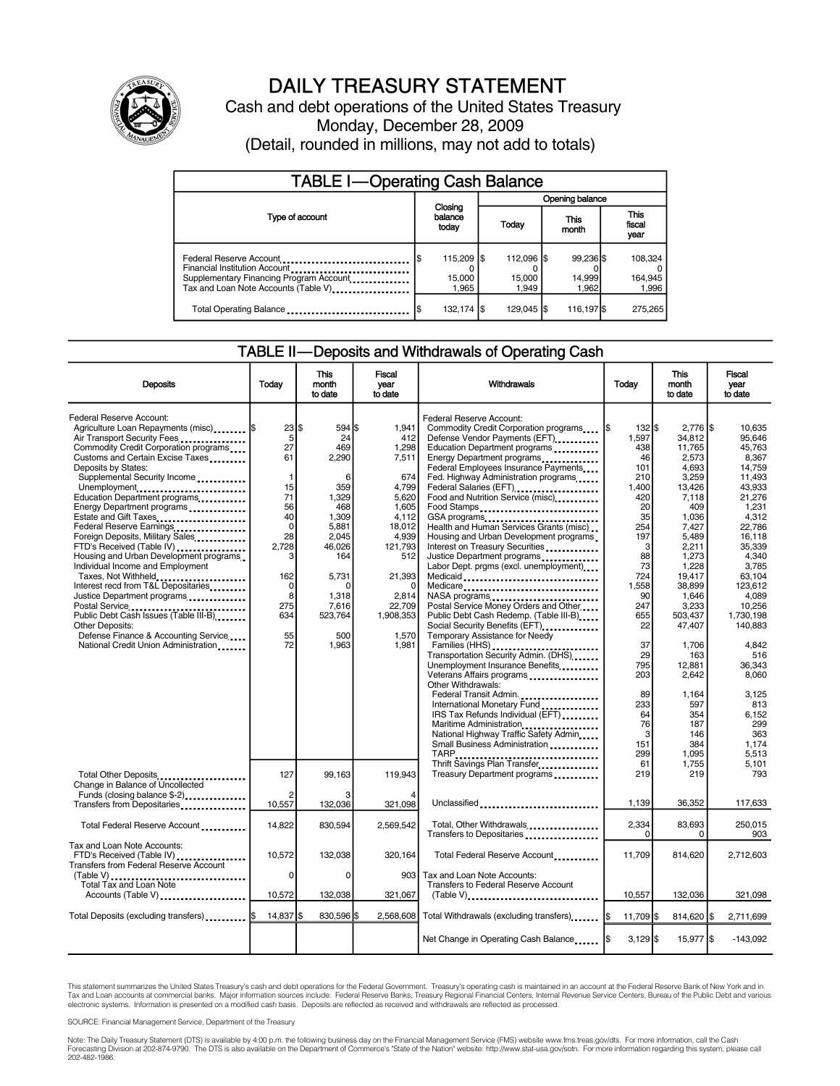

### DAILY TREASURY STATEMENT

Cash and debt operations of the United States Treasury Monday, December 28, 2009 (Detail, rounded in millions, may not add to totals)

| <b>TABLE I-Operating Cash Balance</b>                                                                                                       |    |                               |  |                               |  |                              |  |                               |  |
|---------------------------------------------------------------------------------------------------------------------------------------------|----|-------------------------------|--|-------------------------------|--|------------------------------|--|-------------------------------|--|
|                                                                                                                                             |    | Closing<br>balance<br>today   |  | <b>Opening balance</b>        |  |                              |  |                               |  |
| Type of account                                                                                                                             |    |                               |  | Today                         |  | This<br>month                |  | <b>This</b><br>fiscal<br>year |  |
| Federal Reserve Account<br>Financial Institution Account<br>Supplementary Financing Program Account<br>Tax and Loan Note Accounts (Table V) |    | 115,209 \$<br>15,000<br>1.965 |  | 112.096 \$<br>15,000<br>1.949 |  | 99.236 \$<br>14,999<br>1.962 |  | 108.324<br>164,945<br>1,996   |  |
| Total Operating Balance                                                                                                                     | IS | 132,174 \$                    |  | 129.045 S                     |  | 116,197 \$                   |  | 275.265                       |  |

#### TABLE II—Deposits and Withdrawals of Operating Cash

| <b>Deposits</b>                                                                                                                                                                                                                                                                                                                                                                                                                                                                                                                                                                                                                                                                                                                                                                     | Todav                                                                                                                                        | <b>This</b><br>month<br>to date                                                                                                                            | <b>Fiscal</b><br>vear<br>to date                                                                                                                                           | Withdrawals                                                                                                                                                                                                                                                                                                                                                                                                                                                                                                                                                                                                                                                                                                                                                                                                                                                                                                                                                                      | Today                                                                                                                                                                                                     | <b>This</b><br>month<br>to date                                                                                                                                                                                                                                 | <b>Fiscal</b><br>vear<br>to date                                                                                                                                                                                                                                          |
|-------------------------------------------------------------------------------------------------------------------------------------------------------------------------------------------------------------------------------------------------------------------------------------------------------------------------------------------------------------------------------------------------------------------------------------------------------------------------------------------------------------------------------------------------------------------------------------------------------------------------------------------------------------------------------------------------------------------------------------------------------------------------------------|----------------------------------------------------------------------------------------------------------------------------------------------|------------------------------------------------------------------------------------------------------------------------------------------------------------|----------------------------------------------------------------------------------------------------------------------------------------------------------------------------|----------------------------------------------------------------------------------------------------------------------------------------------------------------------------------------------------------------------------------------------------------------------------------------------------------------------------------------------------------------------------------------------------------------------------------------------------------------------------------------------------------------------------------------------------------------------------------------------------------------------------------------------------------------------------------------------------------------------------------------------------------------------------------------------------------------------------------------------------------------------------------------------------------------------------------------------------------------------------------|-----------------------------------------------------------------------------------------------------------------------------------------------------------------------------------------------------------|-----------------------------------------------------------------------------------------------------------------------------------------------------------------------------------------------------------------------------------------------------------------|---------------------------------------------------------------------------------------------------------------------------------------------------------------------------------------------------------------------------------------------------------------------------|
| Federal Reserve Account:<br>Agriculture Loan Repayments (misc)  \$<br>Air Transport Security Fees<br>Commodity Credit Corporation programs<br>Customs and Certain Excise Taxes<br>Deposits by States:<br>Supplemental Security Income<br>Unemployment<br>Education Department programs<br>Energy Department programs<br>Estate and Gift Taxes<br>Federal Reserve Earnings<br>Foreign Deposits, Military Sales<br>FTD's Received (Table IV)<br>Housing and Urban Development programs<br>Individual Income and Employment<br>Taxes, Not Withheld<br>Interest recd from T&L Depositaries<br>Justice Department programs<br>Postal Service<br>Public Debt Cash Issues (Table III-B)<br>Other Deposits:<br>Defense Finance & Accounting Service<br>National Credit Union Administration | 23 \$<br>5<br>27<br>61<br>$\mathbf{1}$<br>15<br>71<br>56<br>40<br>$\mathbf 0$<br>28<br>2,728<br>3<br>162<br>0<br>8<br>275<br>634<br>55<br>72 | 594 \$<br>24<br>469<br>2,290<br>6<br>359<br>1,329<br>468<br>1.309<br>5,881<br>2.045<br>46,026<br>164<br>5,731<br>1.318<br>7,616<br>523,764<br>500<br>1,963 | 1,941<br>412<br>1,298<br>7,511<br>674<br>4,799<br>5,620<br>1,605<br>4,112<br>18,012<br>4.939<br>121,793<br>512<br>21,393<br>2.814<br>22,709<br>1,908,353<br>1,570<br>1,981 | Federal Reserve Account:<br>Commodity Credit Corporation programs<br>Defense Vendor Payments (EFT)<br>Education Department programs<br>Energy Department programs<br>Federal Employees Insurance Payments<br>Fed. Highway Administration programs<br>Federal Salaries (EFT)<br>Food and Nutrition Service (misc)<br>Food Stamps<br>GSA programs<br>Health and Human Services Grants (misc)<br>Housing and Urban Development programs<br>Interest on Treasury Securities<br>Justice Department programs<br>Labor Dept. prgms (excl. unemployment)<br>Medicaid<br>Medicare<br>Postal Service Money Orders and Other<br>Public Debt Cash Redemp. (Table III-B)<br>Social Security Benefits (EFT)<br><br>Temporary Assistance for Needy<br>Families (HHS)<br>Transportation Security Admin. (DHS)<br>Unemployment Insurance Benefits<br>Veterans Affairs programs<br>Other Withdrawals:<br>Federal Transit Admin.<br>International Monetary Fund<br>IRS Tax Refunds Individual (EFT) | $132$ $\frac{1}{3}$<br>1,597<br>438<br>46<br>101<br>210<br>1,400<br>420<br>20<br>35<br>254<br>197<br>3<br>88<br>73<br>724<br>1,558<br>90<br>247<br>655<br>22<br>37<br>29<br>795<br>203<br>89<br>233<br>64 | $2.776$ \\$<br>34,812<br>11,765<br>2,573<br>4,693<br>3,259<br>13,426<br>7,118<br>409<br>1,036<br>7,427<br>5,489<br>2,211<br>1,273<br>1,228<br>19,417<br>38,899<br>1,646<br>3,233<br>503,437<br>47,407<br>1,706<br>163<br>12,881<br>2,642<br>1,164<br>597<br>354 | 10,635<br>95.646<br>45.763<br>8.367<br>14.759<br>11.493<br>43,933<br>21.276<br>1,231<br>4.312<br>22,786<br>16.118<br>35.339<br>4,340<br>3,785<br>63.104<br>123.612<br>4.089<br>10,256<br>1,730,198<br>140,883<br>4,842<br>516<br>36.343<br>8,060<br>3,125<br>813<br>6,152 |
| Total Other Deposits<br>Change in Balance of Uncollected                                                                                                                                                                                                                                                                                                                                                                                                                                                                                                                                                                                                                                                                                                                            | 127                                                                                                                                          | 99.163                                                                                                                                                     | 119,943                                                                                                                                                                    | Maritime Administration<br>National Highway Traffic Safety Admin<br>Small Business Administration<br>TARP<br>Thrift Savings Plan Transfer<br>Treasury Department programs                                                                                                                                                                                                                                                                                                                                                                                                                                                                                                                                                                                                                                                                                                                                                                                                        | 76<br>3<br>151<br>299<br>61<br>219                                                                                                                                                                        | 187<br>146<br>384<br>1,095<br>1,755<br>219                                                                                                                                                                                                                      | 299<br>363<br>1,174<br>5,513<br>5.101<br>793                                                                                                                                                                                                                              |
| Funds (closing balance \$-2)<br>Transfers from Depositaries                                                                                                                                                                                                                                                                                                                                                                                                                                                                                                                                                                                                                                                                                                                         | $\overline{2}$<br>10,557                                                                                                                     | 132,036                                                                                                                                                    | 321,098                                                                                                                                                                    | Unclassified                                                                                                                                                                                                                                                                                                                                                                                                                                                                                                                                                                                                                                                                                                                                                                                                                                                                                                                                                                     | 1,139                                                                                                                                                                                                     | 36,352                                                                                                                                                                                                                                                          | 117,633                                                                                                                                                                                                                                                                   |
| Total Federal Reserve Account                                                                                                                                                                                                                                                                                                                                                                                                                                                                                                                                                                                                                                                                                                                                                       | 14,822                                                                                                                                       | 830,594                                                                                                                                                    | 2,569,542                                                                                                                                                                  | Total, Other Withdrawals<br>Transfers to Depositaries                                                                                                                                                                                                                                                                                                                                                                                                                                                                                                                                                                                                                                                                                                                                                                                                                                                                                                                            | 2,334<br>$\Omega$                                                                                                                                                                                         | 83,693<br>0                                                                                                                                                                                                                                                     | 250.015<br>903                                                                                                                                                                                                                                                            |
| Tax and Loan Note Accounts:<br>FTD's Received (Table IV)<br><b>Transfers from Federal Reserve Account</b>                                                                                                                                                                                                                                                                                                                                                                                                                                                                                                                                                                                                                                                                           | 10.572<br>0                                                                                                                                  | 132.038                                                                                                                                                    | 320.164                                                                                                                                                                    | Total Federal Reserve Account                                                                                                                                                                                                                                                                                                                                                                                                                                                                                                                                                                                                                                                                                                                                                                                                                                                                                                                                                    | 11.709                                                                                                                                                                                                    | 814.620                                                                                                                                                                                                                                                         | 2,712,603                                                                                                                                                                                                                                                                 |
| $(Table V)$<br><br>Total Tax and Loan Note<br>Accounts (Table V)                                                                                                                                                                                                                                                                                                                                                                                                                                                                                                                                                                                                                                                                                                                    | 10,572                                                                                                                                       | $\mathbf 0$<br>132,038                                                                                                                                     | 321,067                                                                                                                                                                    | 903 Tax and Loan Note Accounts:<br><b>Transfers to Federal Reserve Account</b><br>(Table V)                                                                                                                                                                                                                                                                                                                                                                                                                                                                                                                                                                                                                                                                                                                                                                                                                                                                                      | 10,557                                                                                                                                                                                                    | 132,036                                                                                                                                                                                                                                                         | 321,098                                                                                                                                                                                                                                                                   |
| Total Deposits (excluding transfers)   \$                                                                                                                                                                                                                                                                                                                                                                                                                                                                                                                                                                                                                                                                                                                                           | 14,837 \$                                                                                                                                    | 830,596 \$                                                                                                                                                 | 2.568.608                                                                                                                                                                  | Total Withdrawals (excluding transfers) [\$                                                                                                                                                                                                                                                                                                                                                                                                                                                                                                                                                                                                                                                                                                                                                                                                                                                                                                                                      | 11,709 \$                                                                                                                                                                                                 | 814,620 \$                                                                                                                                                                                                                                                      | 2,711,699                                                                                                                                                                                                                                                                 |
|                                                                                                                                                                                                                                                                                                                                                                                                                                                                                                                                                                                                                                                                                                                                                                                     |                                                                                                                                              |                                                                                                                                                            |                                                                                                                                                                            |                                                                                                                                                                                                                                                                                                                                                                                                                                                                                                                                                                                                                                                                                                                                                                                                                                                                                                                                                                                  | $3,129$ \$                                                                                                                                                                                                | 15,977 \$                                                                                                                                                                                                                                                       | $-143,092$                                                                                                                                                                                                                                                                |

This statement summarizes the United States Treasury's cash and debt operations for the Federal Government. Treasury's operating cash is maintained in an account at the Federal Reserve Bank of New York and in<br>Tax and Loan

SOURCE: Financial Management Service, Department of the Treasury

Note: The Daily Treasury Statement (DTS) is available by 4:00 p.m. the following business day on the Financial Management Service (FMS) website www.fms.treas.gov/dts. For more information, call the Cash Forecasting Division at 202-874-9790. The DTS is also available on the Department of Commerce's "State of the Nation" website: http://www.stat-usa.gov/sotn. For more information regarding this system, please call<br>202-482-1